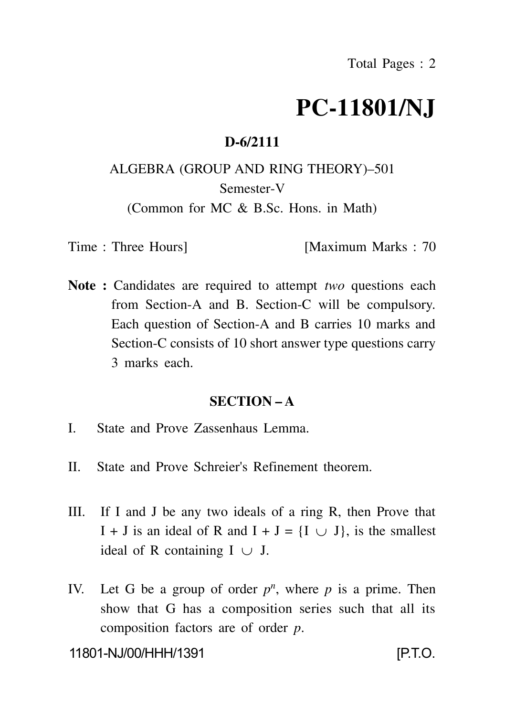# **PC-11801/NJ**

#### **D-6/2111**

## ALGEBRA (GROUP AND RING THEORY)–501 Semester-V (Common for MC & B.Sc. Hons. in Math)

Time : Three Hours **I**Maximum Marks : 70

**Note :** Candidates are required to attempt *two* questions each from Section-A and B. Section-C will be compulsory. Each question of Section-A and B carries 10 marks and Section-C consists of 10 short answer type questions carry 3 marks each.

#### **SECTION – A**

- I. State and Prove Zassenhaus Lemma.
- II. State and Prove Schreier's Refinement theorem.
- III. If I and J be any two ideals of a ring R, then Prove that I + J is an ideal of R and I + J =  $\{I \cup J\}$ , is the smallest ideal of R containing  $I \cup J$ .
- IV. Let G be a group of order  $p^n$ , where p is a prime. Then show that G has a composition series such that all its composition factors are of order *p*.

11801-NJ/00/HHH/1391 [P.T.O.